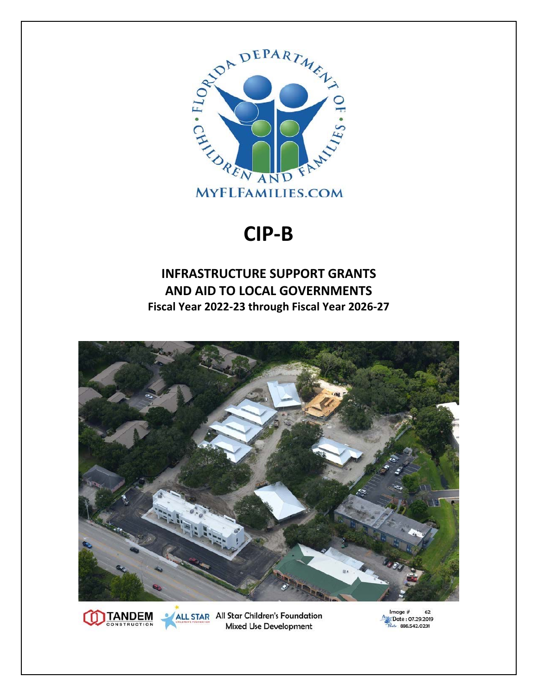

## **CIP‐B**

## **INFRASTRUCTURE SUPPORT GRANTS AND AID TO LOCAL GOVERNMENTS Fiscal Year 2022‐23 through Fiscal Year 2026‐27**



ALL STAR All Star Children's Foundation **Mixed Use Development** 

**JTANDEM** 

Image  $#$ 62 Date: 07.29.2019 Lete 888.542.0231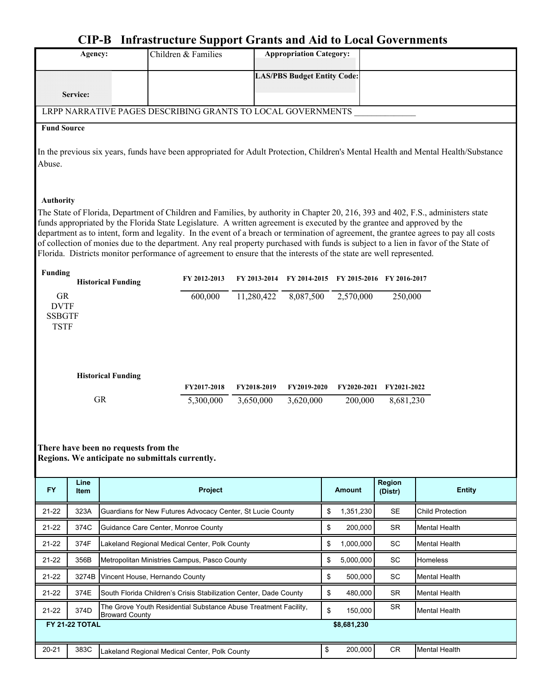## **CIP-B Infrastructure Support Grants and Aid to Local Governments**

|                    | Agency:                                                                                                                                |                                      | Children & Families                                                                                                                                                                                                                                                                                                                                                                                                                                                                                                                                                                                                                                                |              | <b>Appropriation Category:</b>     |                 |                           |                         |
|--------------------|----------------------------------------------------------------------------------------------------------------------------------------|--------------------------------------|--------------------------------------------------------------------------------------------------------------------------------------------------------------------------------------------------------------------------------------------------------------------------------------------------------------------------------------------------------------------------------------------------------------------------------------------------------------------------------------------------------------------------------------------------------------------------------------------------------------------------------------------------------------------|--------------|------------------------------------|-----------------|---------------------------|-------------------------|
|                    |                                                                                                                                        |                                      |                                                                                                                                                                                                                                                                                                                                                                                                                                                                                                                                                                                                                                                                    |              | <b>LAS/PBS Budget Entity Code:</b> |                 |                           |                         |
|                    | Service:                                                                                                                               |                                      |                                                                                                                                                                                                                                                                                                                                                                                                                                                                                                                                                                                                                                                                    |              |                                    |                 |                           |                         |
|                    |                                                                                                                                        |                                      | LRPP NARRATIVE PAGES DESCRIBING GRANTS TO LOCAL GOVERNMENTS                                                                                                                                                                                                                                                                                                                                                                                                                                                                                                                                                                                                        |              |                                    |                 |                           |                         |
| <b>Fund Source</b> |                                                                                                                                        |                                      |                                                                                                                                                                                                                                                                                                                                                                                                                                                                                                                                                                                                                                                                    |              |                                    |                 |                           |                         |
| Abuse.             | In the previous six years, funds have been appropriated for Adult Protection, Children's Mental Health and Mental Health/Substance     |                                      |                                                                                                                                                                                                                                                                                                                                                                                                                                                                                                                                                                                                                                                                    |              |                                    |                 |                           |                         |
| <b>Authority</b>   |                                                                                                                                        |                                      |                                                                                                                                                                                                                                                                                                                                                                                                                                                                                                                                                                                                                                                                    |              |                                    |                 |                           |                         |
|                    |                                                                                                                                        |                                      | The State of Florida, Department of Children and Families, by authority in Chapter 20, 216, 393 and 402, F.S., administers state<br>funds appropriated by the Florida State Legislature. A written agreement is executed by the grantee and approved by the<br>department as to intent, form and legality. In the event of a breach or termination of agreement, the grantee agrees to pay all costs<br>of collection of monies due to the department. Any real property purchased with funds is subject to a lien in favor of the State of<br>Florida. Districts monitor performance of agreement to ensure that the interests of the state are well represented. |              |                                    |                 |                           |                         |
| <b>Funding</b>     |                                                                                                                                        |                                      | FY 2012-2013                                                                                                                                                                                                                                                                                                                                                                                                                                                                                                                                                                                                                                                       | FY 2013-2014 | FY 2014-2015                       |                 | FY 2015-2016 FY 2016-2017 |                         |
| <b>GR</b>          | <b>Historical Funding</b><br>600,000<br>11,280,422<br>8,087,500<br>2,570,000<br>250,000<br><b>DVTF</b><br><b>SSBGTF</b><br><b>TSTF</b> |                                      |                                                                                                                                                                                                                                                                                                                                                                                                                                                                                                                                                                                                                                                                    |              |                                    |                 |                           |                         |
|                    |                                                                                                                                        | <b>Historical Funding</b>            |                                                                                                                                                                                                                                                                                                                                                                                                                                                                                                                                                                                                                                                                    |              |                                    |                 |                           |                         |
|                    |                                                                                                                                        |                                      | FY2017-2018                                                                                                                                                                                                                                                                                                                                                                                                                                                                                                                                                                                                                                                        | FY2018-2019  | FY2019-2020                        | FY2020-2021     | FY2021-2022               |                         |
|                    |                                                                                                                                        | <b>GR</b>                            | 5,300,000                                                                                                                                                                                                                                                                                                                                                                                                                                                                                                                                                                                                                                                          | 3,650,000    | 3,620,000                          | 200,000         | 8,681,230                 |                         |
|                    |                                                                                                                                        | There have been no requests from the | Regions. We anticipate no submittals currently.                                                                                                                                                                                                                                                                                                                                                                                                                                                                                                                                                                                                                    |              |                                    |                 |                           |                         |
| <b>FY</b>          | Line<br><b>Item</b>                                                                                                                    |                                      | <b>Project</b>                                                                                                                                                                                                                                                                                                                                                                                                                                                                                                                                                                                                                                                     |              |                                    | <b>Amount</b>   | Region<br>(Distr)         | <b>Entity</b>           |
| 21-22              | 323A                                                                                                                                   |                                      | Guardians for New Futures Advocacy Center, St Lucie County                                                                                                                                                                                                                                                                                                                                                                                                                                                                                                                                                                                                         |              |                                    | \$<br>1,351,230 | <b>SE</b>                 | <b>Child Protection</b> |
| $21 - 22$          | 374C                                                                                                                                   |                                      | Guidance Care Center, Monroe County                                                                                                                                                                                                                                                                                                                                                                                                                                                                                                                                                                                                                                |              |                                    | \$<br>200,000   | <b>SR</b>                 | Mental Health           |
| $21 - 22$          | 374F                                                                                                                                   |                                      | Lakeland Regional Medical Center, Polk County                                                                                                                                                                                                                                                                                                                                                                                                                                                                                                                                                                                                                      |              |                                    | 1,000,000<br>\$ | SC                        | Mental Health           |
| $21 - 22$          | 356B                                                                                                                                   |                                      | Metropolitan Ministries Campus, Pasco County                                                                                                                                                                                                                                                                                                                                                                                                                                                                                                                                                                                                                       |              |                                    | 5,000,000<br>\$ | SC                        | <b>Homeless</b>         |
| $21 - 22$          |                                                                                                                                        |                                      | 3274B Vincent House, Hernando County                                                                                                                                                                                                                                                                                                                                                                                                                                                                                                                                                                                                                               |              |                                    | 500,000<br>\$   | SC                        | Mental Health           |
| 21-22              | 374E                                                                                                                                   |                                      | South Florida Children's Crisis Stabilization Center, Dade County                                                                                                                                                                                                                                                                                                                                                                                                                                                                                                                                                                                                  |              |                                    | 480,000<br>\$   | <b>SR</b>                 | Mental Health           |
| $21 - 22$          | 374D                                                                                                                                   | <b>Broward County</b>                | The Grove Youth Residential Substance Abuse Treatment Facility,                                                                                                                                                                                                                                                                                                                                                                                                                                                                                                                                                                                                    |              |                                    | \$<br>150,000   | <b>SR</b>                 | <b>Mental Health</b>    |
|                    | <b>FY 21-22 TOTAL</b>                                                                                                                  |                                      |                                                                                                                                                                                                                                                                                                                                                                                                                                                                                                                                                                                                                                                                    |              |                                    | \$8,681,230     |                           |                         |
| $20 - 21$          | 383C                                                                                                                                   |                                      | Lakeland Regional Medical Center, Polk County                                                                                                                                                                                                                                                                                                                                                                                                                                                                                                                                                                                                                      |              |                                    | 200,000<br>\$   | CR                        | <b>Mental Health</b>    |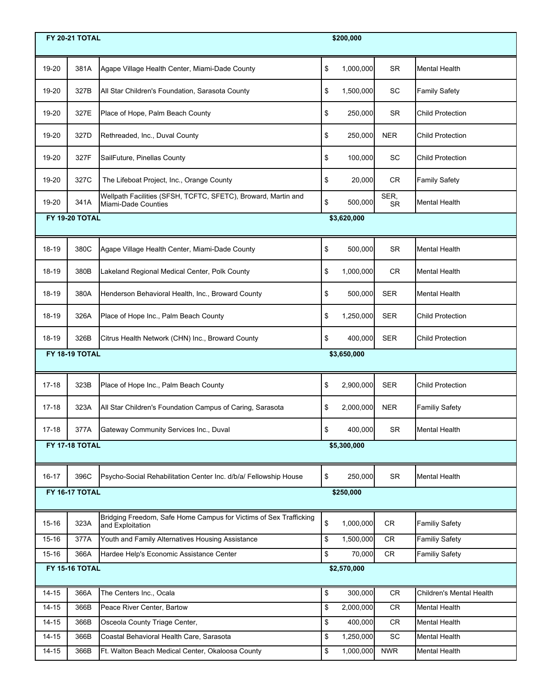|           | \$200,000<br><b>FY 20-21 TOTAL</b> |                                                                                       |    |             |                   |                          |
|-----------|------------------------------------|---------------------------------------------------------------------------------------|----|-------------|-------------------|--------------------------|
| 19-20     | 381A                               | Agape Village Health Center, Miami-Dade County                                        | \$ | 1,000,000   | <b>SR</b>         | <b>Mental Health</b>     |
| 19-20     | 327B                               | All Star Children's Foundation, Sarasota County                                       | \$ | 1,500,000   | SC                | <b>Family Safety</b>     |
| 19-20     | 327E                               | Place of Hope, Palm Beach County                                                      | \$ | 250,000     | <b>SR</b>         | <b>Child Protection</b>  |
| 19-20     | 327D                               | Rethreaded, Inc., Duval County                                                        | \$ | 250,000     | <b>NER</b>        | <b>Child Protection</b>  |
| 19-20     | 327F                               | SailFuture, Pinellas County                                                           | \$ | 100,000     | SC                | <b>Child Protection</b>  |
| 19-20     | 327C                               | The Lifeboat Project, Inc., Orange County                                             | \$ | 20,000      | <b>CR</b>         | <b>Family Safety</b>     |
| 19-20     | 341A                               | Wellpath Facilities (SFSH, TCFTC, SFETC), Broward, Martin and<br>Miami-Dade Counties  | \$ | 500,000     | SER,<br><b>SR</b> | <b>Mental Health</b>     |
|           | FY 19-20 TOTAL                     |                                                                                       |    | \$3,620,000 |                   |                          |
| 18-19     | 380C                               | Agape Village Health Center, Miami-Dade County                                        | \$ | 500,000     | <b>SR</b>         | <b>Mental Health</b>     |
| 18-19     | 380B                               | Lakeland Regional Medical Center, Polk County                                         | \$ | 1,000,000   | <b>CR</b>         | <b>Mental Health</b>     |
| 18-19     | 380A                               | Henderson Behavioral Health, Inc., Broward County                                     | \$ | 500,000     | <b>SER</b>        | <b>Mental Health</b>     |
| 18-19     | 326A                               | Place of Hope Inc., Palm Beach County                                                 | \$ | 1,250,000   | <b>SER</b>        | <b>Child Protection</b>  |
| 18-19     | 326B                               | Citrus Health Network (CHN) Inc., Broward County                                      | \$ | 400,000     | <b>SER</b>        | <b>Child Protection</b>  |
|           | FY 18-19 TOTAL                     |                                                                                       |    | \$3,650,000 |                   |                          |
| $17 - 18$ | 323B                               | Place of Hope Inc., Palm Beach County                                                 | \$ | 2,900,000   | <b>SER</b>        | <b>Child Protection</b>  |
| $17 - 18$ | 323A                               | All Star Children's Foundation Campus of Caring, Sarasota                             | \$ | 2,000,000   | <b>NER</b>        | <b>Familiy Safety</b>    |
| $17 - 18$ | 377A                               | Gateway Community Services Inc., Duval                                                | \$ | 400,000     | <b>SR</b>         | <b>Mental Health</b>     |
|           | <b>FY 17-18 TOTAL</b>              |                                                                                       |    | \$5,300,000 |                   |                          |
| $16 - 17$ | 396C                               | Psycho-Social Rehabilitation Center Inc. d/b/a/ Fellowship House                      | \$ | 250,000     | <b>SR</b>         | Mental Health            |
|           | <b>FY 16-17 TOTAL</b>              |                                                                                       |    | \$250,000   |                   |                          |
| $15 - 16$ | 323A                               | Bridging Freedom, Safe Home Campus for Victims of Sex Trafficking<br>and Exploitation | \$ | 1,000,000   | <b>CR</b>         | <b>Familiy Safety</b>    |
| 15-16     | 377A                               | Youth and Family Alternatives Housing Assistance                                      | \$ | 1,500,000   | <b>CR</b>         | <b>Familiy Safety</b>    |
| $15 - 16$ | 366A                               | Hardee Help's Economic Assistance Center                                              | \$ | 70,000      | CR.               | <b>Familiy Safety</b>    |
|           | <b>FY 15-16 TOTAL</b>              |                                                                                       |    | \$2,570,000 |                   |                          |
| $14 - 15$ | 366A                               | The Centers Inc., Ocala                                                               | \$ | 300,000     | <b>CR</b>         | Children's Mental Health |
| $14 - 15$ | 366B                               | Peace River Center, Bartow                                                            | \$ | 2,000,000   | CR                | <b>Mental Health</b>     |
| $14 - 15$ | 366B                               | Osceola County Triage Center,                                                         | \$ | 400,000     | CR                | Mental Health            |
| $14 - 15$ | 366B                               | Coastal Behavioral Health Care, Sarasota                                              | \$ | 1,250,000   | SC                | Mental Health            |
| $14 - 15$ | 366B                               | Ft. Walton Beach Medical Center, Okaloosa County                                      | \$ | 1,000,000   | <b>NWR</b>        | Mental Health            |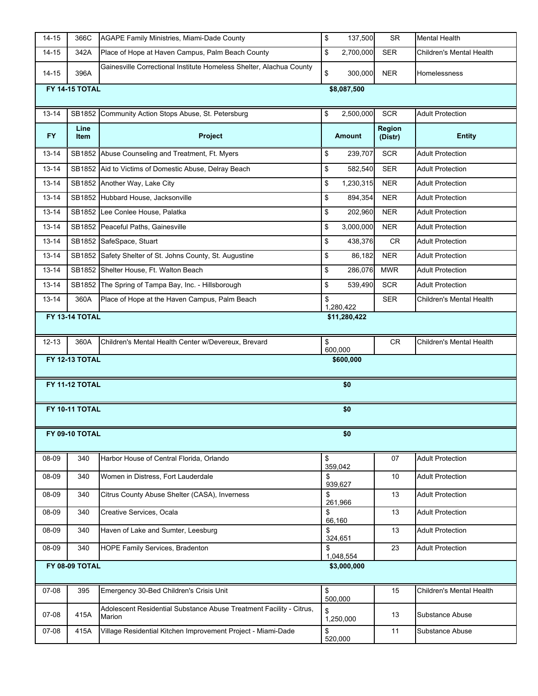| $14 - 15$ | 366C                                  | <b>AGAPE Family Ministries, Miami-Dade County</b>                             | \$ | 137,500       | <b>SR</b>         | <b>Mental Health</b>     |  |  |
|-----------|---------------------------------------|-------------------------------------------------------------------------------|----|---------------|-------------------|--------------------------|--|--|
| $14 - 15$ | 342A                                  | Place of Hope at Haven Campus, Palm Beach County                              | \$ | 2,700,000     | <b>SER</b>        | Children's Mental Health |  |  |
| $14 - 15$ | 396A                                  | Gainesville Correctional Institute Homeless Shelter, Alachua County           | \$ | 300,000       | <b>NER</b>        | Homelessness             |  |  |
|           | <b>FY 14-15 TOTAL</b><br>\$8,087,500  |                                                                               |    |               |                   |                          |  |  |
| $13 - 14$ |                                       | SB1852 Community Action Stops Abuse, St. Petersburg                           | \$ | 2,500,000     | <b>SCR</b>        | <b>Adult Protection</b>  |  |  |
| FY.       | Line<br>Item                          | Project                                                                       |    | <b>Amount</b> | Region<br>(Distr) | <b>Entity</b>            |  |  |
| 13-14     |                                       | SB1852 Abuse Counseling and Treatment, Ft. Myers                              | \$ | 239,707       | <b>SCR</b>        | <b>Adult Protection</b>  |  |  |
| $13 - 14$ |                                       | SB1852 Aid to Victims of Domestic Abuse, Delray Beach                         | \$ | 582,540       | <b>SER</b>        | <b>Adult Protection</b>  |  |  |
| $13 - 14$ |                                       | SB1852 Another Way, Lake City                                                 | \$ | 1,230,315     | <b>NER</b>        | <b>Adult Protection</b>  |  |  |
| 13-14     |                                       | SB1852 Hubbard House, Jacksonville                                            | \$ | 894,354       | <b>NER</b>        | <b>Adult Protection</b>  |  |  |
| $13 - 14$ |                                       | SB1852 Lee Conlee House, Palatka                                              | \$ | 202,960       | <b>NER</b>        | <b>Adult Protection</b>  |  |  |
| 13-14     |                                       | SB1852 Peaceful Paths, Gainesville                                            | \$ | 3,000,000     | <b>NER</b>        | <b>Adult Protection</b>  |  |  |
| $13 - 14$ |                                       | SB1852 SafeSpace, Stuart                                                      | \$ | 438,376       | <b>CR</b>         | <b>Adult Protection</b>  |  |  |
| 13-14     |                                       | SB1852 Safety Shelter of St. Johns County, St. Augustine                      | \$ | 86,182        | <b>NER</b>        | <b>Adult Protection</b>  |  |  |
| 13-14     |                                       | SB1852 Shelter House, Ft. Walton Beach                                        | \$ | 286,076       | <b>MWR</b>        | <b>Adult Protection</b>  |  |  |
| $13 - 14$ |                                       | SB1852 The Spring of Tampa Bay, Inc. - Hillsborough                           | \$ | 539,490       | <b>SCR</b>        | <b>Adult Protection</b>  |  |  |
| $13 - 14$ | 360A                                  | Place of Hope at the Haven Campus, Palm Beach                                 | \$ | 1,280,422     | <b>SER</b>        | Children's Mental Health |  |  |
|           | <b>FY 13-14 TOTAL</b><br>\$11,280,422 |                                                                               |    |               |                   |                          |  |  |
| $12 - 13$ | 360A                                  | Children's Mental Health Center w/Devereux, Brevard                           | \$ | 600,000       | CR                | Children's Mental Health |  |  |
|           | <b>FY 12-13 TOTAL</b>                 |                                                                               |    | \$600,000     |                   |                          |  |  |
|           | <b>FY 11-12 TOTAL</b>                 |                                                                               |    | \$0           |                   |                          |  |  |
|           | <b>FY 10-11 TOTAL</b>                 |                                                                               |    | \$0           |                   |                          |  |  |
|           | FY 09-10 TOTAL                        |                                                                               |    | \$0           |                   |                          |  |  |
|           |                                       |                                                                               |    |               |                   |                          |  |  |
| 08-09     | 340                                   | Harbor House of Central Florida, Orlando                                      | \$ | 359,042       | 07                | <b>Adult Protection</b>  |  |  |
| 08-09     | 340                                   | Women in Distress, Fort Lauderdale                                            | \$ | 939,627       | 10                | <b>Adult Protection</b>  |  |  |
| 08-09     | 340                                   | Citrus County Abuse Shelter (CASA), Inverness                                 | \$ | 261,966       | 13                | <b>Adult Protection</b>  |  |  |
| 08-09     | 340                                   | Creative Services, Ocala                                                      | \$ | 66,160        | 13                | <b>Adult Protection</b>  |  |  |
| 08-09     | 340                                   | Haven of Lake and Sumter, Leesburg                                            | \$ | 324,651       | 13                | <b>Adult Protection</b>  |  |  |
| 08-09     | 340                                   | <b>HOPE Family Services, Bradenton</b>                                        | \$ | 1,048,554     | 23                | <b>Adult Protection</b>  |  |  |
|           | FY 08-09 TOTAL                        |                                                                               |    | \$3,000,000   |                   |                          |  |  |
| 07-08     | 395                                   | Emergency 30-Bed Children's Crisis Unit                                       | \$ | 500,000       | 15                | Children's Mental Health |  |  |
| 07-08     | 415A                                  | Adolescent Residential Substance Abuse Treatment Facility - Citrus,<br>Marion | \$ | 1,250,000     | 13                | Substance Abuse          |  |  |
| 07-08     | 415A                                  | Village Residential Kitchen Improvement Project - Miami-Dade                  | \$ | 520,000       | 11                | Substance Abuse          |  |  |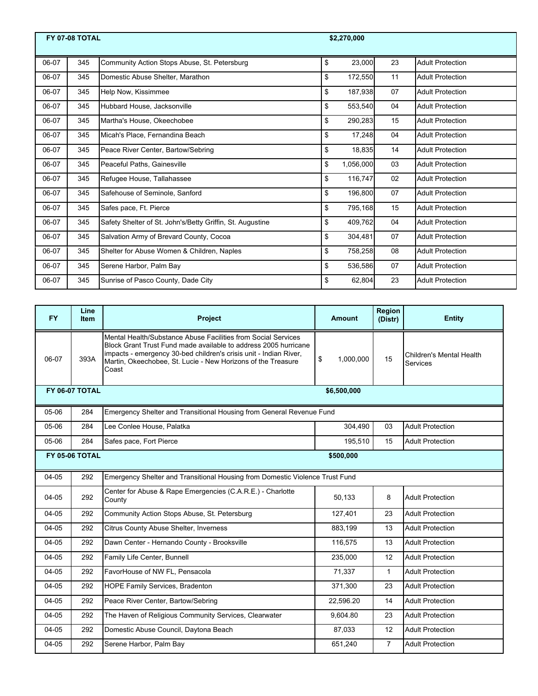|       | <b>FY 07-08 TOTAL</b> |                                                           | \$2,270,000     |    |                         |
|-------|-----------------------|-----------------------------------------------------------|-----------------|----|-------------------------|
| 06-07 | 345                   | Community Action Stops Abuse, St. Petersburg              | \$<br>23,000    | 23 | <b>Adult Protection</b> |
| 06-07 | 345                   | Domestic Abuse Shelter, Marathon                          | \$<br>172,550   | 11 | <b>Adult Protection</b> |
| 06-07 | 345                   | Help Now, Kissimmee                                       | \$<br>187,938   | 07 | <b>Adult Protection</b> |
| 06-07 | 345                   | Hubbard House, Jacksonville                               | \$<br>553,540   | 04 | <b>Adult Protection</b> |
| 06-07 | 345                   | Martha's House, Okeechobee                                | \$<br>290,283   | 15 | <b>Adult Protection</b> |
| 06-07 | 345                   | Micah's Place, Fernandina Beach                           | \$<br>17,248    | 04 | <b>Adult Protection</b> |
| 06-07 | 345                   | Peace River Center, Bartow/Sebring                        | \$<br>18,835    | 14 | <b>Adult Protection</b> |
| 06-07 | 345                   | Peaceful Paths, Gainesville                               | \$<br>1,056,000 | 03 | <b>Adult Protection</b> |
| 06-07 | 345                   | Refugee House, Tallahassee                                | \$<br>116,747   | 02 | <b>Adult Protection</b> |
| 06-07 | 345                   | Safehouse of Seminole, Sanford                            | \$<br>196,800   | 07 | <b>Adult Protection</b> |
| 06-07 | 345                   | Safes pace, Ft. Pierce                                    | \$<br>795,168   | 15 | <b>Adult Protection</b> |
| 06-07 | 345                   | Safety Shelter of St. John's/Betty Griffin, St. Augustine | \$<br>409,762   | 04 | <b>Adult Protection</b> |
| 06-07 | 345                   | Salvation Army of Brevard County, Cocoa                   | \$<br>304,481   | 07 | <b>Adult Protection</b> |
| 06-07 | 345                   | Shelter for Abuse Women & Children, Naples                | \$<br>758,258   | 08 | <b>Adult Protection</b> |
| 06-07 | 345                   | Serene Harbor, Palm Bay                                   | \$<br>536,586   | 07 | <b>Adult Protection</b> |
| 06-07 | 345                   | Sunrise of Pasco County, Dade City                        | \$<br>62,804    | 23 | <b>Adult Protection</b> |

| <b>FY</b> | Line<br><b>Item</b>   | Project                                                                                                                                                                                                                                                                        | Amount          | Region<br>(Distr) | <b>Entity</b>                        |
|-----------|-----------------------|--------------------------------------------------------------------------------------------------------------------------------------------------------------------------------------------------------------------------------------------------------------------------------|-----------------|-------------------|--------------------------------------|
| 06-07     | 393A                  | Mental Health/Substance Abuse Facilities from Social Services<br>Block Grant Trust Fund made available to address 2005 hurricane<br>impacts - emergency 30-bed children's crisis unit - Indian River,<br>Martin, Okeechobee, St. Lucie - New Horizons of the Treasure<br>Coast | \$<br>1,000,000 | 15                | Children's Mental Health<br>Services |
|           | <b>FY 06-07 TOTAL</b> |                                                                                                                                                                                                                                                                                | \$6,500,000     |                   |                                      |
| 05-06     | 284                   | Emergency Shelter and Transitional Housing from General Revenue Fund                                                                                                                                                                                                           |                 |                   |                                      |
| 05-06     | 284                   | Lee Conlee House, Palatka                                                                                                                                                                                                                                                      | 304,490         | 03                | <b>Adult Protection</b>              |
| 05-06     | 284                   | Safes pace, Fort Pierce                                                                                                                                                                                                                                                        | 195,510         | 15                | <b>Adult Protection</b>              |
|           | <b>FY 05-06 TOTAL</b> |                                                                                                                                                                                                                                                                                | \$500,000       |                   |                                      |
| 04-05     | 292                   | Emergency Shelter and Transitional Housing from Domestic Violence Trust Fund                                                                                                                                                                                                   |                 |                   |                                      |
| $04 - 05$ | 292                   | Center for Abuse & Rape Emergencies (C.A.R.E.) - Charlotte<br>County                                                                                                                                                                                                           | 50,133          | 8                 | <b>Adult Protection</b>              |
| 04-05     | 292                   | Community Action Stops Abuse, St. Petersburg                                                                                                                                                                                                                                   | 127,401         | 23                | <b>Adult Protection</b>              |
| $04 - 05$ | 292                   | Citrus County Abuse Shelter, Inverness                                                                                                                                                                                                                                         | 883,199         | 13                | <b>Adult Protection</b>              |
| 04-05     | 292                   | Dawn Center - Hernando County - Brooksville                                                                                                                                                                                                                                    | 116,575         | 13                | <b>Adult Protection</b>              |
| 04-05     | 292                   | Family Life Center, Bunnell                                                                                                                                                                                                                                                    | 235,000         | 12                | <b>Adult Protection</b>              |
| 04-05     | 292                   | FavorHouse of NW FL, Pensacola                                                                                                                                                                                                                                                 | 71,337          | $\mathbf{1}$      | <b>Adult Protection</b>              |
| 04-05     | 292                   | HOPE Family Services, Bradenton                                                                                                                                                                                                                                                | 371,300         | 23                | <b>Adult Protection</b>              |
| 04-05     | 292                   | Peace River Center, Bartow/Sebring                                                                                                                                                                                                                                             | 22,596.20       | 14                | <b>Adult Protection</b>              |
| 04-05     | 292                   | The Haven of Religious Community Services, Clearwater                                                                                                                                                                                                                          | 9,604.80        | 23                | <b>Adult Protection</b>              |
| 04-05     | 292                   | Domestic Abuse Council, Daytona Beach                                                                                                                                                                                                                                          | 87,033          | 12                | <b>Adult Protection</b>              |
| 04-05     | 292                   | Serene Harbor, Palm Bay                                                                                                                                                                                                                                                        | 651,240         | $\overline{7}$    | <b>Adult Protection</b>              |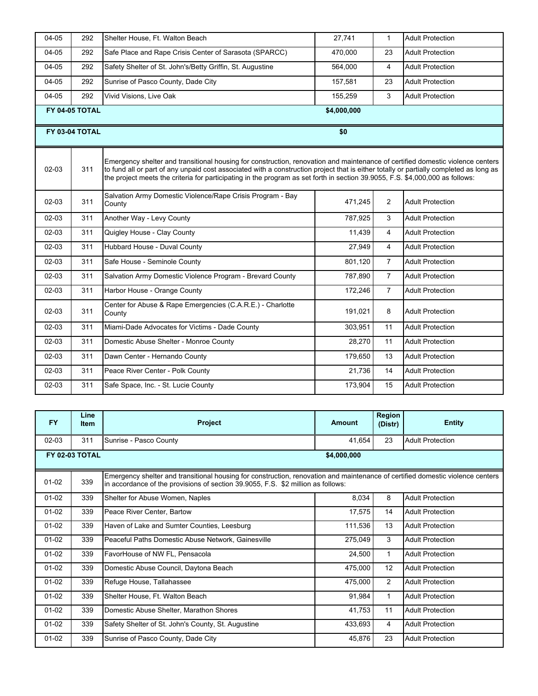| 04-05   | 292                           | Shelter House, Ft. Walton Beach                                                                                                                                                                                                                                                                                                                                                                           | 27,741  | $\mathbf{1}$   | <b>Adult Protection</b> |  |  |  |
|---------|-------------------------------|-----------------------------------------------------------------------------------------------------------------------------------------------------------------------------------------------------------------------------------------------------------------------------------------------------------------------------------------------------------------------------------------------------------|---------|----------------|-------------------------|--|--|--|
| 04-05   | 292                           | Safe Place and Rape Crisis Center of Sarasota (SPARCC)                                                                                                                                                                                                                                                                                                                                                    | 470,000 | 23             | <b>Adult Protection</b> |  |  |  |
| 04-05   | 292                           | Safety Shelter of St. John's/Betty Griffin, St. Augustine                                                                                                                                                                                                                                                                                                                                                 | 564,000 | 4              | <b>Adult Protection</b> |  |  |  |
| 04-05   | 292                           | Sunrise of Pasco County, Dade City                                                                                                                                                                                                                                                                                                                                                                        | 157,581 | 23             | <b>Adult Protection</b> |  |  |  |
| 04-05   | 292                           | Vivid Visions, Live Oak                                                                                                                                                                                                                                                                                                                                                                                   | 155,259 | 3              | <b>Adult Protection</b> |  |  |  |
|         | FY 04-05 TOTAL<br>\$4,000,000 |                                                                                                                                                                                                                                                                                                                                                                                                           |         |                |                         |  |  |  |
|         | FY 03-04 TOTAL                |                                                                                                                                                                                                                                                                                                                                                                                                           | \$0     |                |                         |  |  |  |
| 02-03   | 311                           | Emergency shelter and transitional housing for construction, renovation and maintenance of certified domestic violence centers<br>to fund all or part of any unpaid cost associated with a construction project that is either totally or partially completed as long as<br>the project meets the criteria for participating in the program as set forth in section 39.9055, F.S. \$4,000,000 as follows: |         |                |                         |  |  |  |
| $02-03$ | 311                           | Salvation Army Domestic Violence/Rape Crisis Program - Bay<br>County                                                                                                                                                                                                                                                                                                                                      | 471,245 | 2              | <b>Adult Protection</b> |  |  |  |
| $02-03$ | 311                           | Another Way - Levy County                                                                                                                                                                                                                                                                                                                                                                                 | 787,925 | 3              | <b>Adult Protection</b> |  |  |  |
| 02-03   | 311                           | Quigley House - Clay County                                                                                                                                                                                                                                                                                                                                                                               | 11,439  | $\overline{4}$ | <b>Adult Protection</b> |  |  |  |
| $02-03$ | 311                           | Hubbard House - Duval County                                                                                                                                                                                                                                                                                                                                                                              | 27,949  | $\overline{4}$ | <b>Adult Protection</b> |  |  |  |
| 02-03   | 311                           | Safe House - Seminole County                                                                                                                                                                                                                                                                                                                                                                              | 801,120 | $\overline{7}$ | <b>Adult Protection</b> |  |  |  |
| $02-03$ | 311                           | Salvation Army Domestic Violence Program - Brevard County                                                                                                                                                                                                                                                                                                                                                 | 787,890 | $\overline{7}$ | <b>Adult Protection</b> |  |  |  |
| $02-03$ | 311                           | Harbor House - Orange County                                                                                                                                                                                                                                                                                                                                                                              | 172,246 | $\overline{7}$ | <b>Adult Protection</b> |  |  |  |
| 02-03   | 311                           | Center for Abuse & Rape Emergencies (C.A.R.E.) - Charlotte<br>County                                                                                                                                                                                                                                                                                                                                      | 191,021 | 8              | <b>Adult Protection</b> |  |  |  |
| 02-03   | 311                           | Miami-Dade Advocates for Victims - Dade County                                                                                                                                                                                                                                                                                                                                                            | 303,951 | 11             | <b>Adult Protection</b> |  |  |  |
| $02-03$ | 311                           | Domestic Abuse Shelter - Monroe County                                                                                                                                                                                                                                                                                                                                                                    | 28,270  | 11             | <b>Adult Protection</b> |  |  |  |
| 02-03   | 311                           | Dawn Center - Hernando County                                                                                                                                                                                                                                                                                                                                                                             | 179,650 | 13             | <b>Adult Protection</b> |  |  |  |
| 02-03   | 311                           | Peace River Center - Polk County                                                                                                                                                                                                                                                                                                                                                                          | 21,736  | 14             | <b>Adult Protection</b> |  |  |  |
| $02-03$ | 311                           | Safe Space, Inc. - St. Lucie County                                                                                                                                                                                                                                                                                                                                                                       | 173,904 | 15             | <b>Adult Protection</b> |  |  |  |

| <b>FY</b> | Line<br><b>Item</b>           | <b>Project</b>                                                                                                                                                                                                     | <b>Amount</b> | Region<br>(Distr) | <b>Entity</b>           |  |  |
|-----------|-------------------------------|--------------------------------------------------------------------------------------------------------------------------------------------------------------------------------------------------------------------|---------------|-------------------|-------------------------|--|--|
| $02 - 03$ | 311                           | Sunrise - Pasco County                                                                                                                                                                                             | 41,654        | 23                | <b>Adult Protection</b> |  |  |
|           | FY 02-03 TOTAL<br>\$4,000,000 |                                                                                                                                                                                                                    |               |                   |                         |  |  |
| $01 - 02$ | 339                           | Emergency shelter and transitional housing for construction, renovation and maintenance of certified domestic violence centers<br>in accordance of the provisions of section 39.9055, F.S. \$2 million as follows: |               |                   |                         |  |  |
| $01 - 02$ | 339                           | Shelter for Abuse Women, Naples                                                                                                                                                                                    | 8,034         | 8                 | <b>Adult Protection</b> |  |  |
| $01 - 02$ | 339                           | Peace River Center, Bartow                                                                                                                                                                                         | 17,575        | 14                | <b>Adult Protection</b> |  |  |
| $01 - 02$ | 339                           | Haven of Lake and Sumter Counties, Leesburg                                                                                                                                                                        | 111,536       | 13                | <b>Adult Protection</b> |  |  |
| $01-02$   | 339                           | Peaceful Paths Domestic Abuse Network, Gainesville                                                                                                                                                                 | 275,049       | 3                 | <b>Adult Protection</b> |  |  |
| $01 - 02$ | 339                           | FavorHouse of NW FL, Pensacola                                                                                                                                                                                     | 24,500        | 1                 | <b>Adult Protection</b> |  |  |
| $01-02$   | 339                           | Domestic Abuse Council, Daytona Beach                                                                                                                                                                              | 475,000       | 12                | <b>Adult Protection</b> |  |  |
| $01-02$   | 339                           | Refuge House, Tallahassee                                                                                                                                                                                          | 475,000       | $\overline{2}$    | <b>Adult Protection</b> |  |  |
| $01-02$   | 339                           | Shelter House, Ft. Walton Beach                                                                                                                                                                                    | 91,984        | $\mathbf{1}$      | <b>Adult Protection</b> |  |  |
| $01-02$   | 339                           | Domestic Abuse Shelter, Marathon Shores                                                                                                                                                                            | 41,753        | 11                | <b>Adult Protection</b> |  |  |
| $01 - 02$ | 339                           | Safety Shelter of St. John's County, St. Augustine                                                                                                                                                                 | 433,693       | 4                 | <b>Adult Protection</b> |  |  |
| $01 - 02$ | 339                           | Sunrise of Pasco County, Dade City                                                                                                                                                                                 | 45,876        | 23                | <b>Adult Protection</b> |  |  |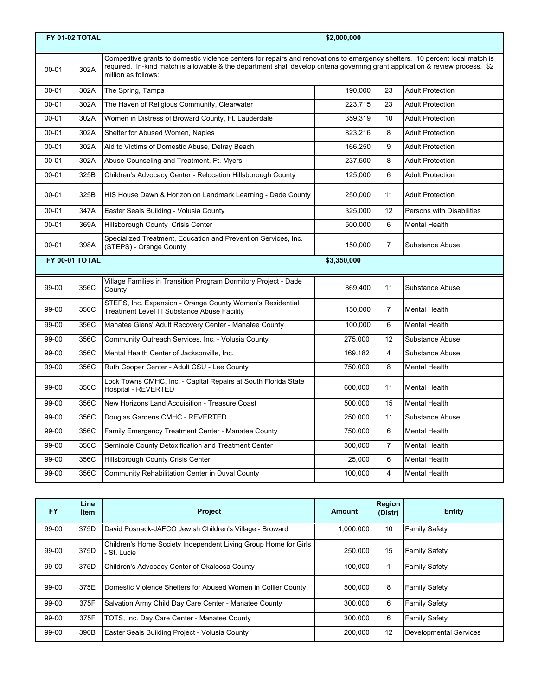|           | <b>FY 01-02 TOTAL</b><br>\$2,000,000                                                                                                                                                                                                                                                          |                                                                                                           |             |                |                           |  |  |
|-----------|-----------------------------------------------------------------------------------------------------------------------------------------------------------------------------------------------------------------------------------------------------------------------------------------------|-----------------------------------------------------------------------------------------------------------|-------------|----------------|---------------------------|--|--|
| $00 - 01$ | Competitive grants to domestic violence centers for repairs and renovations to emergency shelters. 10 percent local match is<br>required. In-kind match is allowable & the department shall develop criteria governing grant application & review process. \$2<br>302A<br>million as follows: |                                                                                                           |             |                |                           |  |  |
| $00 - 01$ | 302A                                                                                                                                                                                                                                                                                          | The Spring, Tampa                                                                                         | 190,000     | 23             | <b>Adult Protection</b>   |  |  |
| $00 - 01$ | 302A                                                                                                                                                                                                                                                                                          | The Haven of Religious Community, Clearwater                                                              | 223,715     | 23             | <b>Adult Protection</b>   |  |  |
| $00 - 01$ | 302A                                                                                                                                                                                                                                                                                          | Women in Distress of Broward County, Ft. Lauderdale                                                       | 359,319     | 10             | <b>Adult Protection</b>   |  |  |
| $00 - 01$ | 302A                                                                                                                                                                                                                                                                                          | Shelter for Abused Women, Naples                                                                          | 823,216     | 8              | <b>Adult Protection</b>   |  |  |
| $00 - 01$ | 302A                                                                                                                                                                                                                                                                                          | Aid to Victims of Domestic Abuse, Delray Beach                                                            | 166,250     | 9              | <b>Adult Protection</b>   |  |  |
| $00 - 01$ | 302A                                                                                                                                                                                                                                                                                          | Abuse Counseling and Treatment, Ft. Myers                                                                 | 237,500     | 8              | <b>Adult Protection</b>   |  |  |
| $00 - 01$ | 325B                                                                                                                                                                                                                                                                                          | Children's Advocacy Center - Relocation Hillsborough County                                               | 125,000     | 6              | <b>Adult Protection</b>   |  |  |
| $00 - 01$ | 325B                                                                                                                                                                                                                                                                                          | HIS House Dawn & Horizon on Landmark Learning - Dade County                                               | 250,000     | 11             | <b>Adult Protection</b>   |  |  |
| $00 - 01$ | 347A                                                                                                                                                                                                                                                                                          | Easter Seals Building - Volusia County                                                                    | 325.000     | 12             | Persons with Disabilities |  |  |
| $00 - 01$ | 369A                                                                                                                                                                                                                                                                                          | Hillsborough County Crisis Center                                                                         | 500,000     | 6              | <b>Mental Health</b>      |  |  |
| $00 - 01$ | 398A                                                                                                                                                                                                                                                                                          | Specialized Treatment, Education and Prevention Services, Inc.<br>(STEPS) - Orange County                 | 150,000     | $\overline{7}$ | Substance Abuse           |  |  |
|           | FY 00-01 TOTAL                                                                                                                                                                                                                                                                                |                                                                                                           | \$3,350,000 |                |                           |  |  |
| 99-00     | 356C                                                                                                                                                                                                                                                                                          | Village Families in Transition Program Dormitory Project - Dade<br>County                                 | 869,400     | 11             | Substance Abuse           |  |  |
| 99-00     | 356C                                                                                                                                                                                                                                                                                          | STEPS, Inc. Expansion - Orange County Women's Residential<br>Treatment Level III Substance Abuse Facility | 150,000     | $\overline{7}$ | <b>Mental Health</b>      |  |  |
| 99-00     | 356C                                                                                                                                                                                                                                                                                          | Manatee Glens' Adult Recovery Center - Manatee County                                                     | 100,000     | 6              | <b>Mental Health</b>      |  |  |
| 99-00     | 356C                                                                                                                                                                                                                                                                                          | Community Outreach Services, Inc. - Volusia County                                                        | 275,000     | 12             | Substance Abuse           |  |  |
| 99-00     | 356C                                                                                                                                                                                                                                                                                          | Mental Health Center of Jacksonville, Inc.                                                                | 169,182     | $\overline{4}$ | Substance Abuse           |  |  |
| 99-00     | 356C                                                                                                                                                                                                                                                                                          | Ruth Cooper Center - Adult CSU - Lee County                                                               | 750,000     | 8              | <b>Mental Health</b>      |  |  |
| 99-00     | 356C                                                                                                                                                                                                                                                                                          | Lock Towns CMHC, Inc. - Capital Repairs at South Florida State<br>Hospital - REVERTED                     | 600,000     | 11             | <b>Mental Health</b>      |  |  |
| 99-00     | 356C                                                                                                                                                                                                                                                                                          | New Horizons Land Acquisition - Treasure Coast                                                            | 500,000     | 15             | <b>Mental Health</b>      |  |  |
| 99-00     | 356C                                                                                                                                                                                                                                                                                          | Douglas Gardens CMHC - REVERTED                                                                           | 250.000     | 11             | Substance Abuse           |  |  |
| 99-00     | 356C                                                                                                                                                                                                                                                                                          | Family Emergency Treatment Center - Manatee County                                                        | 750,000     | 6              | <b>Mental Health</b>      |  |  |
| 99-00     | 356C                                                                                                                                                                                                                                                                                          | Seminole County Detoxification and Treatment Center                                                       | 300,000     | $\overline{7}$ | <b>Mental Health</b>      |  |  |
| 99-00     | 356C                                                                                                                                                                                                                                                                                          | Hillsborough County Crisis Center                                                                         | 25,000      | 6              | <b>Mental Health</b>      |  |  |
| 99-00     | 356C                                                                                                                                                                                                                                                                                          | Community Rehabilitation Center in Duval County                                                           | 100,000     | 4              | <b>Mental Health</b>      |  |  |

| <b>FY</b> | Line<br>Item | <b>Project</b>                                                                 | Amount    | Region<br>(Distr) | <b>Entity</b>                 |
|-----------|--------------|--------------------------------------------------------------------------------|-----------|-------------------|-------------------------------|
| 99-00     | 375D         | David Posnack-JAFCO Jewish Children's Village - Broward                        | 1.000.000 | 10                | <b>Family Safety</b>          |
| 99-00     | 375D         | Children's Home Society Independent Living Group Home for Girls<br>- St. Lucie | 250.000   | 15                | <b>Family Safety</b>          |
| 99-00     | 375D         | Children's Advocacy Center of Okaloosa County                                  | 100.000   |                   | <b>Family Safety</b>          |
| 99-00     | 375E         | Domestic Violence Shelters for Abused Women in Collier County                  | 500.000   | 8                 | <b>Family Safety</b>          |
| 99-00     | 375F         | Salvation Army Child Day Care Center - Manatee County                          | 300.000   | 6                 | <b>Family Safety</b>          |
| 99-00     | 375F         | TOTS, Inc. Day Care Center - Manatee County                                    | 300.000   | 6                 | <b>Family Safety</b>          |
| 99-00     | 390B         | Easter Seals Building Project - Volusia County                                 | 200.000   | 12                | <b>Developmental Services</b> |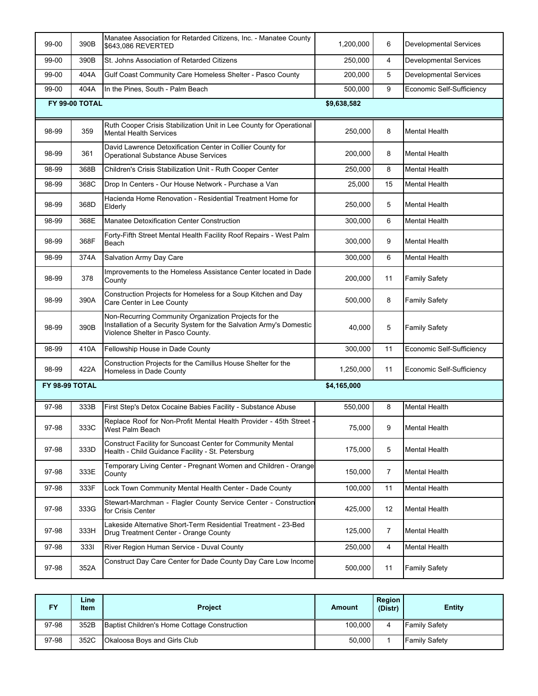| 99-00          | 390B           | Manatee Association for Retarded Citizens, Inc. - Manatee County<br>\$643,086 REVERTED                                                                            | 1,200,000   | 6  | <b>Developmental Services</b> |
|----------------|----------------|-------------------------------------------------------------------------------------------------------------------------------------------------------------------|-------------|----|-------------------------------|
| 99-00          | 390B           | St. Johns Association of Retarded Citizens                                                                                                                        | 250,000     | 4  | <b>Developmental Services</b> |
| 99-00          | 404A           | Gulf Coast Community Care Homeless Shelter - Pasco County                                                                                                         | 200,000     | 5  | <b>Developmental Services</b> |
| 99-00          | 404A           | In the Pines, South - Palm Beach                                                                                                                                  | 500.000     | 9  | Economic Self-Sufficiency     |
|                | FY 99-00 TOTAL |                                                                                                                                                                   | \$9,638,582 |    |                               |
| 98-99          | 359            | Ruth Cooper Crisis Stabilization Unit in Lee County for Operational<br><b>Mental Health Services</b>                                                              | 250,000     | 8  | <b>Mental Health</b>          |
| 98-99          | 361            | David Lawrence Detoxification Center in Collier County for<br><b>Operational Substance Abuse Services</b>                                                         | 200,000     | 8  | <b>Mental Health</b>          |
| 98-99          | 368B           | Children's Crisis Stabilization Unit - Ruth Cooper Center                                                                                                         | 250,000     | 8  | <b>Mental Health</b>          |
| 98-99          | 368C           | Drop In Centers - Our House Network - Purchase a Van                                                                                                              | 25,000      | 15 | <b>Mental Health</b>          |
| 98-99          | 368D           | Hacienda Home Renovation - Residential Treatment Home for<br>Elderly                                                                                              | 250,000     | 5  | <b>Mental Health</b>          |
| 98-99          | 368E           | Manatee Detoxification Center Construction                                                                                                                        | 300,000     | 6  | <b>Mental Health</b>          |
| 98-99          | 368F           | Forty-Fifth Street Mental Health Facility Roof Repairs - West Palm<br>Beach                                                                                       | 300,000     | 9  | <b>Mental Health</b>          |
| 98-99          | 374A           | <b>Salvation Army Day Care</b>                                                                                                                                    | 300,000     | 6  | <b>Mental Health</b>          |
| 98-99          | 378            | Improvements to the Homeless Assistance Center located in Dade<br>County                                                                                          | 200,000     | 11 | <b>Family Safety</b>          |
| 98-99          | 390A           | Construction Projects for Homeless for a Soup Kitchen and Day<br>Care Center in Lee County                                                                        | 500,000     | 8  | <b>Family Safety</b>          |
| 98-99          | 390B           | Non-Recurring Community Organization Projects for the<br>Installation of a Security System for the Salvation Army's Domestic<br>Violence Shelter in Pasco County. | 40,000      | 5  | <b>Family Safety</b>          |
| 98-99          | 410A           | Fellowship House in Dade County                                                                                                                                   | 300,000     | 11 | Economic Self-Sufficiency     |
| 98-99          | 422A           | Construction Projects for the Camillus House Shelter for the<br>Homeless in Dade County                                                                           | 1,250,000   | 11 | Economic Self-Sufficiency     |
| FY 98-99 TOTAL |                |                                                                                                                                                                   | \$4,165,000 |    |                               |
| 97-98          | 333B           | First Step's Detox Cocaine Babies Facility - Substance Abuse                                                                                                      | 550,000     | 8  | <b>Mental Health</b>          |
| 97-98          | 333C           | Replace Roof for Non-Profit Mental Health Provider - 45th Street -<br>West Palm Beach                                                                             | 75,000      | 9  | <b>Mental Health</b>          |
| 97-98          | 333D           | Construct Facility for Suncoast Center for Community Mental<br>Health - Child Guidance Facility - St. Petersburg                                                  | 175,000     | 5  | <b>Mental Health</b>          |
| 97-98          | 333E           | Temporary Living Center - Pregnant Women and Children - Orange<br>County                                                                                          | 150,000     | 7  | <b>Mental Health</b>          |
| 97-98          | 333F           | Lock Town Community Mental Health Center - Dade County                                                                                                            | 100,000     | 11 | <b>Mental Health</b>          |
| 97-98          | 333G           | Stewart-Marchman - Flagler County Service Center - Construction<br>for Crisis Center                                                                              | 425,000     | 12 | <b>Mental Health</b>          |
| 97-98          | 333H           | Lakeside Alternative Short-Term Residential Treatment - 23-Bed<br>Drug Treatment Center - Orange County                                                           | 125,000     | 7  | <b>Mental Health</b>          |
| 97-98          | 3331           | River Region Human Service - Duval County                                                                                                                         | 250,000     | 4  | <b>Mental Health</b>          |
| 97-98          | 352A           | Construct Day Care Center for Dade County Day Care Low Income                                                                                                     | 500,000     | 11 | <b>Family Safety</b>          |

| FY    | ∟ine⊦<br><b>Item</b> | <b>Project</b>                               | Amount  | Region<br>(Distr) | <b>Entity</b>        |
|-------|----------------------|----------------------------------------------|---------|-------------------|----------------------|
| 97-98 | 352B                 | Baptist Children's Home Cottage Construction | 100.000 |                   | <b>Family Safety</b> |
| 97-98 | 352C                 | Okaloosa Boys and Girls Club                 | 50,000  |                   | <b>Family Safety</b> |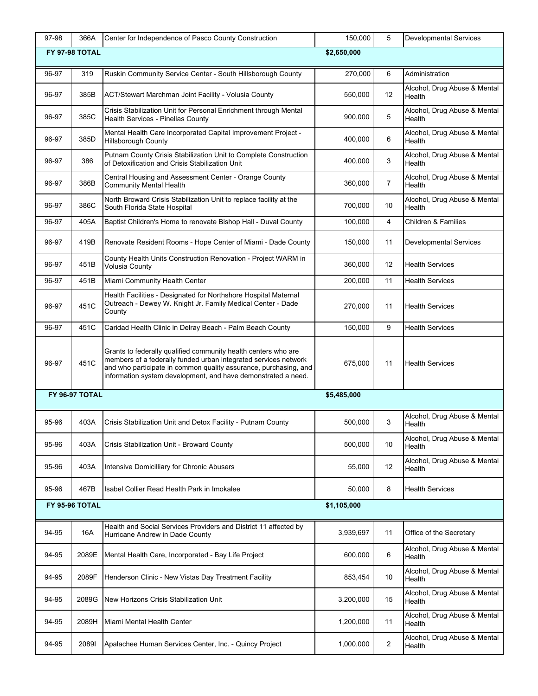| 97-98 | 366A           | Center for Independence of Pasco County Construction                                                                                                                                                                                                                   | 150,000     | 5              | <b>Developmental Services</b>          |
|-------|----------------|------------------------------------------------------------------------------------------------------------------------------------------------------------------------------------------------------------------------------------------------------------------------|-------------|----------------|----------------------------------------|
|       | FY 97-98 TOTAL |                                                                                                                                                                                                                                                                        | \$2,650,000 |                |                                        |
| 96-97 | 319            | Ruskin Community Service Center - South Hillsborough County                                                                                                                                                                                                            | 270,000     | 6              | Administration                         |
|       |                |                                                                                                                                                                                                                                                                        |             |                | Alcohol, Drug Abuse & Mental           |
| 96-97 | 385B           | ACT/Stewart Marchman Joint Facility - Volusia County                                                                                                                                                                                                                   | 550,000     | 12             | Health                                 |
| 96-97 | 385C           | Crisis Stabilization Unit for Personal Enrichment through Mental<br>Health Services - Pinellas County                                                                                                                                                                  | 900,000     | 5              | Alcohol, Drug Abuse & Mental<br>Health |
| 96-97 | 385D           | Mental Health Care Incorporated Capital Improvement Project -<br><b>Hillsborough County</b>                                                                                                                                                                            | 400,000     | 6              | Alcohol, Drug Abuse & Mental<br>Health |
| 96-97 | 386            | Putnam County Crisis Stabilization Unit to Complete Construction<br>of Detoxification and Crisis Stabilization Unit                                                                                                                                                    | 400,000     | 3              | Alcohol, Drug Abuse & Mental<br>Health |
| 96-97 | 386B           | Central Housing and Assessment Center - Orange County<br><b>Community Mental Health</b>                                                                                                                                                                                | 360,000     | $\overline{7}$ | Alcohol, Drug Abuse & Mental<br>Health |
| 96-97 | 386C           | North Broward Crisis Stabilization Unit to replace facility at the<br>South Florida State Hospital                                                                                                                                                                     | 700,000     | 10             | Alcohol, Drug Abuse & Mental<br>Health |
| 96-97 | 405A           | Baptist Children's Home to renovate Bishop Hall - Duval County                                                                                                                                                                                                         | 100,000     | 4              | <b>Children &amp; Families</b>         |
| 96-97 | 419B           | Renovate Resident Rooms - Hope Center of Miami - Dade County                                                                                                                                                                                                           | 150,000     | 11             | <b>Developmental Services</b>          |
| 96-97 | 451B           | County Health Units Construction Renovation - Project WARM in<br>Volusia County                                                                                                                                                                                        | 360,000     | 12             | <b>Health Services</b>                 |
| 96-97 | 451B           | Miami Community Health Center                                                                                                                                                                                                                                          | 200,000     | 11             | Health Services                        |
| 96-97 | 451C           | Health Facilities - Designated for Northshore Hospital Maternal<br>Outreach - Dewey W. Knight Jr. Family Medical Center - Dade<br>County                                                                                                                               | 270,000     | 11             | <b>Health Services</b>                 |
| 96-97 | 451C           | Caridad Health Clinic in Delray Beach - Palm Beach County                                                                                                                                                                                                              | 150,000     | 9              | <b>Health Services</b>                 |
| 96-97 | 451C           | Grants to federally qualified community health centers who are<br>members of a federally funded urban integrated services network<br>and who participate in common quality assurance, purchasing, and<br>information system development, and have demonstrated a need. | 675,000     | 11             | <b>Health Services</b>                 |
|       | FY 96-97 TOTAL |                                                                                                                                                                                                                                                                        | \$5,485,000 |                |                                        |
| 95-96 | 403A           | Crisis Stabilization Unit and Detox Facility - Putnam County                                                                                                                                                                                                           | 500,000     | 3              | Alcohol, Drug Abuse & Mental<br>Health |
| 95-96 | 403A           | Crisis Stabilization Unit - Broward County                                                                                                                                                                                                                             | 500,000     | 10             | Alcohol, Drug Abuse & Mental<br>Health |
| 95-96 | 403A           | Intensive Domicilliary for Chronic Abusers                                                                                                                                                                                                                             | 55,000      | 12             | Alcohol, Drug Abuse & Mental<br>Health |
| 95-96 | 467B           | Isabel Collier Read Health Park in Imokalee                                                                                                                                                                                                                            | 50,000      | 8              | <b>Health Services</b>                 |
|       | FY 95-96 TOTAL |                                                                                                                                                                                                                                                                        | \$1,105,000 |                |                                        |
| 94-95 | 16A            | Health and Social Services Providers and District 11 affected by<br>Hurricane Andrew in Dade County                                                                                                                                                                    | 3,939,697   | 11             | Office of the Secretary                |
| 94-95 | 2089E          | Mental Health Care, Incorporated - Bay Life Project                                                                                                                                                                                                                    | 600,000     | 6              | Alcohol, Drug Abuse & Mental<br>Health |
| 94-95 | 2089F          | Henderson Clinic - New Vistas Day Treatment Facility                                                                                                                                                                                                                   | 853,454     | 10             | Alcohol, Drug Abuse & Mental<br>Health |
| 94-95 | 2089G          | New Horizons Crisis Stabilization Unit                                                                                                                                                                                                                                 | 3,200,000   | 15             | Alcohol, Drug Abuse & Mental<br>Health |
| 94-95 | 2089H          | Miami Mental Health Center                                                                                                                                                                                                                                             | 1,200,000   | 11             | Alcohol, Drug Abuse & Mental<br>Health |
| 94-95 | 20891          | Apalachee Human Services Center, Inc. - Quincy Project                                                                                                                                                                                                                 | 1,000,000   | 2              | Alcohol, Drug Abuse & Mental<br>Health |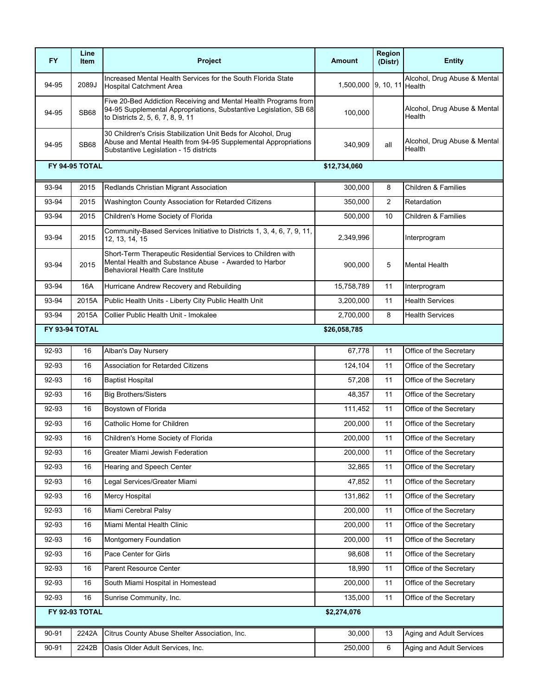| <b>FY</b> | Line<br><b>Item</b> | Project                                                                                                                                                                    | Amount                     | Region<br>(Distr) | <b>Entity</b>                          |
|-----------|---------------------|----------------------------------------------------------------------------------------------------------------------------------------------------------------------------|----------------------------|-------------------|----------------------------------------|
| 94-95     | 2089J               | Increased Mental Health Services for the South Florida State<br><b>Hospital Catchment Area</b>                                                                             | 1,500,000 9, 10, 11 Health |                   | Alcohol, Drug Abuse & Mental           |
| 94-95     | <b>SB68</b>         | Five 20-Bed Addiction Receiving and Mental Health Programs from<br>94-95 Supplemental Appropriations, Substantive Legislation, SB 68<br>to Districts 2, 5, 6, 7, 8, 9, 11  | 100,000                    |                   | Alcohol, Drug Abuse & Mental<br>Health |
| 94-95     | <b>SB68</b>         | 30 Children's Crisis Stabilization Unit Beds for Alcohol, Drug<br>Abuse and Mental Health from 94-95 Supplemental Appropriations<br>Substantive Legislation - 15 districts | 340,909                    | all               | Alcohol, Drug Abuse & Mental<br>Health |
|           | FY 94-95 TOTAL      |                                                                                                                                                                            | \$12,734,060               |                   |                                        |
| 93-94     | 2015                | Redlands Christian Migrant Association                                                                                                                                     | 300,000                    | 8                 | <b>Children &amp; Families</b>         |
| 93-94     | 2015                | Washington County Association for Retarded Citizens                                                                                                                        | 350,000                    | 2                 | Retardation                            |
| 93-94     | 2015                | Children's Home Society of Florida                                                                                                                                         | 500,000                    | 10                | <b>Children &amp; Families</b>         |
| 93-94     | 2015                | Community-Based Services Initiative to Districts 1, 3, 4, 6, 7, 9, 11,<br>12, 13, 14, 15                                                                                   | 2,349,996                  |                   | Interprogram                           |
| 93-94     | 2015                | Short-Term Therapeutic Residential Services to Children with<br>Mental Health and Substance Abuse - Awarded to Harbor<br><b>Behavioral Health Care Institute</b>           | 900,000                    | 5                 | <b>Mental Health</b>                   |
| 93-94     | 16A                 | Hurricane Andrew Recovery and Rebuilding                                                                                                                                   | 15,758,789                 | 11                | Interprogram                           |
| 93-94     | 2015A               | Public Health Units - Liberty City Public Health Unit                                                                                                                      | 3,200,000                  | 11                | <b>Health Services</b>                 |
| 93-94     | 2015A               | Collier Public Health Unit - Imokalee                                                                                                                                      | 2,700,000                  | 8                 | <b>Health Services</b>                 |
|           | FY 93-94 TOTAL      |                                                                                                                                                                            | \$26,058,785               |                   |                                        |
| 92-93     | 16                  | Alban's Day Nursery                                                                                                                                                        | 67,778                     | 11                | Office of the Secretary                |
| 92-93     | 16                  | <b>Association for Retarded Citizens</b>                                                                                                                                   | 124,104                    | 11                | Office of the Secretary                |
| 92-93     | 16                  | <b>Baptist Hospital</b>                                                                                                                                                    | 57,208                     | 11                | Office of the Secretary                |
| 92-93     | 16                  | <b>Big Brothers/Sisters</b>                                                                                                                                                | 48,357                     | 11                | Office of the Secretary                |
| 92-93     | 16                  | Boystown of Florida                                                                                                                                                        | 111,452                    | 11                | Office of the Secretary                |
| 92-93     | 16                  | Catholic Home for Children                                                                                                                                                 | 200,000                    | 11                | Office of the Secretary                |
| 92-93     | 16                  | Children's Home Society of Florida                                                                                                                                         | 200,000                    | 11                | Office of the Secretary                |
| 92-93     | 16                  | Greater Miami Jewish Federation                                                                                                                                            | 200,000                    | 11                | Office of the Secretary                |
| 92-93     | 16                  | Hearing and Speech Center                                                                                                                                                  | 32,865                     | 11                | Office of the Secretary                |
| 92-93     | 16                  | Legal Services/Greater Miami                                                                                                                                               | 47,852                     | 11                | Office of the Secretary                |
| 92-93     | 16                  | Mercy Hospital                                                                                                                                                             | 131,862                    | 11                | Office of the Secretary                |
| 92-93     | 16                  | Miami Cerebral Palsy                                                                                                                                                       | 200,000                    | 11                | Office of the Secretary                |
| 92-93     | 16                  | Miami Mental Health Clinic                                                                                                                                                 | 200,000                    | 11                | Office of the Secretary                |
| 92-93     | 16                  | Montgomery Foundation                                                                                                                                                      | 200,000                    | 11                | Office of the Secretary                |
| 92-93     | 16                  | Pace Center for Girls                                                                                                                                                      | 98,608                     | 11                | Office of the Secretary                |
| 92-93     | 16                  | Parent Resource Center                                                                                                                                                     | 18,990                     | 11                | Office of the Secretary                |
| 92-93     | 16                  | South Miami Hospital in Homestead                                                                                                                                          | 200,000                    | 11                | Office of the Secretary                |
| 92-93     | 16                  | Sunrise Community, Inc.                                                                                                                                                    | 135,000                    | 11                | Office of the Secretary                |
|           | FY 92-93 TOTAL      |                                                                                                                                                                            | \$2,274,076                |                   |                                        |
| 90-91     | 2242A               | Citrus County Abuse Shelter Association, Inc.                                                                                                                              | 30,000                     | 13                | Aging and Adult Services               |
| 90-91     | 2242B               | Oasis Older Adult Services, Inc.                                                                                                                                           | 250,000                    | 6                 | Aging and Adult Services               |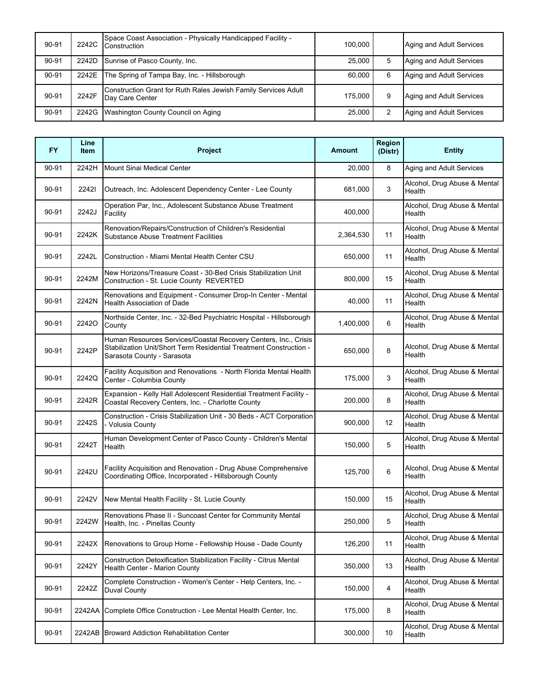| 90-91 | 2242C | Space Coast Association - Physically Handicapped Facility -<br>Construction       | 100,000 |   | Aging and Adult Services |
|-------|-------|-----------------------------------------------------------------------------------|---------|---|--------------------------|
| 90-91 | 2242D | Sunrise of Pasco County, Inc.                                                     | 25.000  | 5 | Aging and Adult Services |
| 90-91 | 2242E | The Spring of Tampa Bay, Inc. - Hillsborough                                      | 60.000  | 6 | Aging and Adult Services |
| 90-91 | 2242F | Construction Grant for Ruth Rales Jewish Family Services Adult<br>Day Care Center | 175.000 | 9 | Aging and Adult Services |
| 90-91 | 2242G | Washington County Council on Aging                                                | 25.000  | 2 | Aging and Adult Services |

| <b>FY</b> | Line<br><b>Item</b> | Project                                                                                                                                                             | <b>Amount</b> | Region<br>(Distr) | <b>Entity</b>                          |
|-----------|---------------------|---------------------------------------------------------------------------------------------------------------------------------------------------------------------|---------------|-------------------|----------------------------------------|
| 90-91     | 2242H               | Mount Sinai Medical Center                                                                                                                                          | 20.000        | 8                 | Aging and Adult Services               |
| 90-91     | 22421               | Outreach, Inc. Adolescent Dependency Center - Lee County                                                                                                            | 681,000       | 3                 | Alcohol, Drug Abuse & Mental<br>Health |
| 90-91     | 2242J               | Operation Par, Inc., Adolescent Substance Abuse Treatment<br>Facility                                                                                               | 400,000       |                   | Alcohol, Drug Abuse & Mental<br>Health |
| 90-91     | 2242K               | Renovation/Repairs/Construction of Children's Residential<br><b>Substance Abuse Treatment Facilities</b>                                                            | 2,364,530     | 11                | Alcohol, Drug Abuse & Mental<br>Health |
| 90-91     | 2242L               | Construction - Miami Mental Health Center CSU                                                                                                                       | 650,000       | 11                | Alcohol, Drug Abuse & Mental<br>Health |
| 90-91     | 2242M               | New Horizons/Treasure Coast - 30-Bed Crisis Stabilization Unit<br>Construction - St. Lucie County REVERTED                                                          | 800,000       | 15                | Alcohol, Drug Abuse & Mental<br>Health |
| 90-91     | 2242N               | Renovations and Equipment - Consumer Drop-In Center - Mental<br><b>Health Association of Dade</b>                                                                   | 40,000        | 11                | Alcohol, Drug Abuse & Mental<br>Health |
| 90-91     | 22420               | Northside Center, Inc. - 32-Bed Psychiatric Hospital - Hillsborough<br>County                                                                                       | 1,400,000     | 6                 | Alcohol, Drug Abuse & Mental<br>Health |
| 90-91     | 2242P               | Human Resources Services/Coastal Recovery Centers, Inc., Crisis<br>Stabilization Unit/Short Term Residential Treatment Construction -<br>Sarasota County - Sarasota | 650,000       | 8                 | Alcohol, Drug Abuse & Mental<br>Health |
| 90-91     | 2242Q               | Facility Acquisition and Renovations - North Florida Mental Health<br>Center - Columbia County                                                                      | 175,000       | 3                 | Alcohol, Drug Abuse & Mental<br>Health |
| 90-91     | 2242R               | Expansion - Kelly Hall Adolescent Residential Treatment Facility -<br>Coastal Recovery Centers, Inc. - Charlotte County                                             | 200,000       | 8                 | Alcohol, Drug Abuse & Mental<br>Health |
| 90-91     | 2242S               | Construction - Crisis Stabilization Unit - 30 Beds - ACT Corporation<br>- Volusia County                                                                            | 900,000       | 12                | Alcohol, Drug Abuse & Mental<br>Health |
| 90-91     | 2242T               | Human Development Center of Pasco County - Children's Mental<br>Health                                                                                              | 150,000       | 5                 | Alcohol, Drug Abuse & Mental<br>Health |
| 90-91     | 2242U               | Facility Acquisition and Renovation - Drug Abuse Comprehensive<br>Coordinating Office, Incorporated - Hillsborough County                                           | 125,700       | 6                 | Alcohol, Drug Abuse & Mental<br>Health |
| 90-91     | 2242V               | New Mental Health Facility - St. Lucie County                                                                                                                       | 150,000       | 15                | Alcohol, Drug Abuse & Mental<br>Health |
| 90-91     | 2242W               | Renovations Phase II - Suncoast Center for Community Mental<br>Health, Inc. - Pinellas County                                                                       | 250,000       | 5                 | Alcohol, Drug Abuse & Mental<br>Health |
| 90-91     | 2242X               | Renovations to Group Home - Fellowship House - Dade County                                                                                                          | 126,200       | 11                | Alcohol, Drug Abuse & Mental<br>Health |
| 90-91     | 2242Y               | Construction Detoxification Stabilization Facility - Citrus Mental<br>Health Center - Marion County                                                                 | 350,000       | 13                | Alcohol, Drug Abuse & Mental<br>Health |
| 90-91     | 2242Z               | Complete Construction - Women's Center - Help Centers, Inc. -<br>Duval County                                                                                       | 150,000       | 4                 | Alcohol, Drug Abuse & Mental<br>Health |
| 90-91     | 2242AA              | Complete Office Construction - Lee Mental Health Center, Inc.                                                                                                       | 175,000       | 8                 | Alcohol, Drug Abuse & Mental<br>Health |
| 90-91     |                     | 2242AB Broward Addiction Rehabilitation Center                                                                                                                      | 300,000       | 10                | Alcohol, Drug Abuse & Mental<br>Health |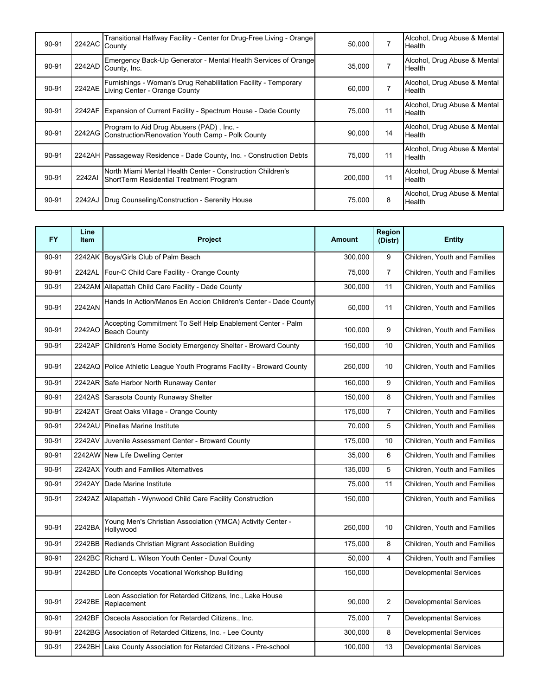| 90-91 | 2242AC County | Transitional Halfway Facility - Center for Drug-Free Living - Orange                                   | 50,000  | 7              | Alcohol, Drug Abuse & Mental<br>Health        |
|-------|---------------|--------------------------------------------------------------------------------------------------------|---------|----------------|-----------------------------------------------|
| 90-91 |               | Emergency Back-Up Generator - Mental Health Services of Orange<br>2242AD County, Inc.                  | 35,000  | $\overline{7}$ | Alcohol, Drug Abuse & Mental<br>Health        |
| 90-91 |               | Furnishings - Woman's Drug Rehabilitation Facility - Temporary<br>2242AE Living Center - Orange County | 60,000  | $\overline{7}$ | Alcohol, Drug Abuse & Mental<br>Health        |
| 90-91 |               | 2242AF Expansion of Current Facility - Spectrum House - Dade County                                    | 75.000  | 11             | Alcohol, Drug Abuse & Mental<br>Health        |
| 90-91 |               | Program to Aid Drug Abusers (PAD), Inc. -<br>2242AG Construction/Renovation Youth Camp - Polk County   | 90,000  | 14             | Alcohol, Drug Abuse & Mental<br><b>Health</b> |
| 90-91 |               | 2242AH Passageway Residence - Dade County, Inc. - Construction Debts                                   | 75.000  | 11             | Alcohol, Drug Abuse & Mental<br>Health        |
| 90-91 | 2242AI        | North Miami Mental Health Center - Construction Children's<br>ShortTerm Residential Treatment Program  | 200,000 | 11             | Alcohol, Drug Abuse & Mental<br>Health        |
| 90-91 | 2242AJ        | Drug Counseling/Construction - Serenity House                                                          | 75,000  | 8              | Alcohol, Drug Abuse & Mental<br>Health        |

| <b>FY</b> | Line<br><b>Item</b> | Project                                                                    | <b>Amount</b> | Region<br>(Distr) | <b>Entity</b>                       |
|-----------|---------------------|----------------------------------------------------------------------------|---------------|-------------------|-------------------------------------|
| 90-91     |                     | 2242AK Boys/Girls Club of Palm Beach                                       | 300,000       | 9                 | Children, Youth and Families        |
| 90-91     | 2242AL              | Four-C Child Care Facility - Orange County                                 | 75.000        | $\overline{7}$    | Children, Youth and Families        |
| 90-91     |                     | 2242AM Allapattah Child Care Facility - Dade County                        | 300,000       | 11                | Children, Youth and Families        |
| 90-91     | 2242AN              | Hands In Action/Manos En Accion Children's Center - Dade County            | 50,000        | 11                | Children, Youth and Families        |
| 90-91     | 2242AO              | Accepting Commitment To Self Help Enablement Center - Palm<br>Beach County | 100,000       | 9                 | Children, Youth and Families        |
| 90-91     | 2242AP              | Children's Home Society Emergency Shelter - Broward County                 | 150.000       | 10                | Children, Youth and Families        |
| 90-91     |                     | 2242AQ Police Athletic League Youth Programs Facility - Broward County     | 250,000       | 10                | <b>Children. Youth and Families</b> |
| 90-91     |                     | 2242AR Safe Harbor North Runaway Center                                    | 160,000       | 9                 | Children, Youth and Families        |
| 90-91     |                     | 2242AS Sarasota County Runaway Shelter                                     | 150,000       | 8                 | Children, Youth and Families        |
| 90-91     | 2242AT              | Great Oaks Village - Orange County                                         | 175,000       | $\overline{7}$    | Children, Youth and Families        |
| 90-91     | 2242AU              | <b>Pinellas Marine Institute</b>                                           | 70.000        | 5                 | Children, Youth and Families        |
| 90-91     | 2242AV              | Juvenile Assessment Center - Broward County                                | 175,000       | 10                | Children, Youth and Families        |
| 90-91     |                     | 2242AW New Life Dwelling Center                                            | 35.000        | 6                 | Children, Youth and Families        |
| 90-91     |                     | 2242AX Youth and Families Alternatives                                     | 135,000       | 5                 | Children, Youth and Families        |
| 90-91     |                     | 2242AY Dade Marine Institute                                               | 75,000        | 11                | Children, Youth and Families        |
| 90-91     | 2242AZ              | Allapattah - Wynwood Child Care Facility Construction                      | 150,000       |                   | Children, Youth and Families        |
| 90-91     | 2242BA              | Young Men's Christian Association (YMCA) Activity Center -<br>Hollywood    | 250,000       | 10                | Children, Youth and Families        |
| 90-91     | 2242BB              | Redlands Christian Migrant Association Building                            | 175,000       | 8                 | Children, Youth and Families        |
| 90-91     | 2242BC              | Richard L. Wilson Youth Center - Duval County                              | 50.000        | $\overline{4}$    | Children, Youth and Families        |
| 90-91     | 2242BD              | Life Concepts Vocational Workshop Building                                 | 150,000       |                   | <b>Developmental Services</b>       |
| 90-91     | 2242BE              | Leon Association for Retarded Citizens, Inc., Lake House<br>Replacement    | 90,000        | 2                 | <b>Developmental Services</b>       |
| 90-91     | 2242BF              | Osceola Association for Retarded Citizens., Inc.                           | 75,000        | $\overline{7}$    | <b>Developmental Services</b>       |
| 90-91     |                     | 2242BG Association of Retarded Citizens, Inc. - Lee County                 | 300.000       | 8                 | <b>Developmental Services</b>       |
| 90-91     | 2242BH              | Lake County Association for Retarded Citizens - Pre-school                 | 100,000       | 13                | <b>Developmental Services</b>       |